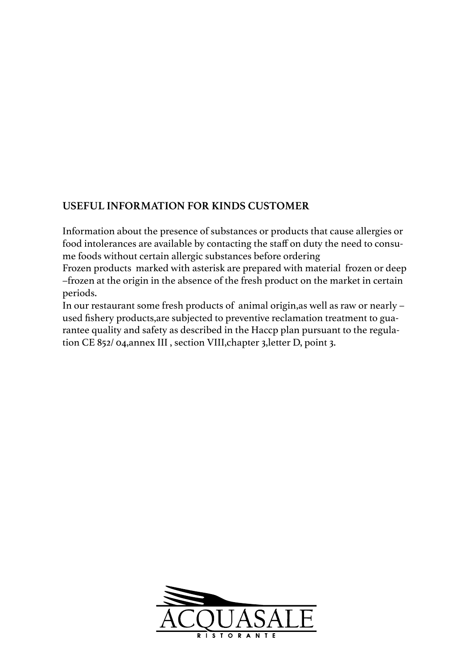## **USEFUL INFORMATION FOR KINDS CUSTOMER**

Information about the presence of substances or products that cause allergies or food intolerances are available by contacting the staff on duty the need to consume foods without certain allergic substances before ordering

Frozen products marked with asterisk are prepared with material frozen or deep –frozen at the origin in the absence of the fresh product on the market in certain periods.

In our restaurant some fresh products of animal origin,as well as raw or nearly – used fishery products,are subjected to preventive reclamation treatment to guarantee quality and safety as described in the Haccp plan pursuant to the regulation CE 852/ 04,annex III , section VIII,chapter 3,letter D, point 3.

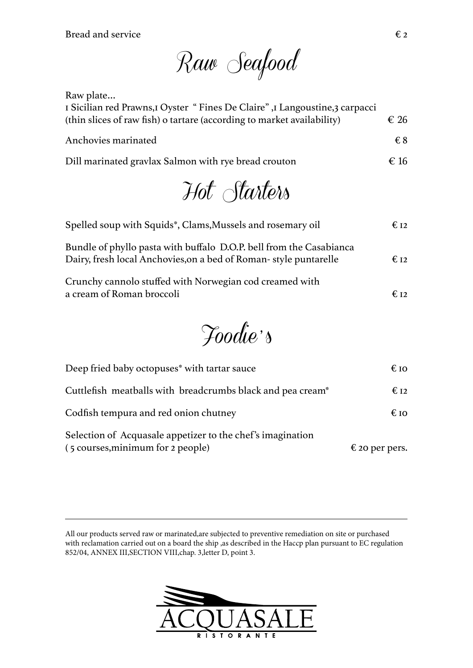Bread and service  $\epsilon_2$ 

Raw Seafood

Raw plate…

| I Sicilian red Prawns, I Oyster "Fines De Claire", I Langoustine, 3 carpacci<br>(thin slices of raw fish) o tartare (according to market availability) | $\epsilon$ 26 |
|--------------------------------------------------------------------------------------------------------------------------------------------------------|---------------|
| Anchovies marinated                                                                                                                                    | €8            |
| Dill marinated gravlax Salmon with rye bread crouton                                                                                                   | $\epsilon$ 16 |
|                                                                                                                                                        |               |

Hot Starters

| Spelled soup with Squids*, Clams, Mussels and rosemary oil                                                                              | $E_{I2}$        |
|-----------------------------------------------------------------------------------------------------------------------------------------|-----------------|
| Bundle of phyllo pasta with buffalo D.O.P. bell from the Casabianca<br>Dairy, fresh local Anchovies, on a bed of Roman-style puntarelle | $\epsilon_{12}$ |
| Crunchy cannolo stuffed with Norwegian cod creamed with<br>a cream of Roman broccoli                                                    | $E_{12}$        |

Foodie ' s

| Deep fried baby octopuses <sup>*</sup> with tartar sauce                                        | $\epsilon$ to           |
|-------------------------------------------------------------------------------------------------|-------------------------|
| Cuttlefish meatballs with breadcrumbs black and pea cream*                                      | $\epsilon_{12}$         |
| Codfish tempura and red onion chutney                                                           | $\epsilon$ to           |
| Selection of Acquasale appetizer to the chef's imagination<br>(5 courses, minimum for 2 people) | $\epsilon$ 20 per pers. |

All our products served raw or marinated,are subjected to preventive remediation on site or purchased with reclamation carried out on a board the ship ,as described in the Haccp plan pursuant to EC regulation 852/04, ANNEX III,SECTION VIII,chap. 3,letter D, point 3.

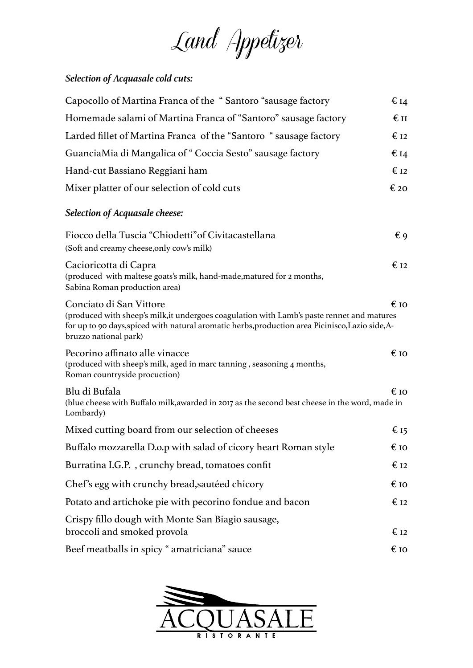Land Appetizer

## *Selection of Acquasale cold cuts:*

| Capocollo of Martina Franca of the "Santoro "sausage factory                                                                                                                                                                                       | $\epsilon$ <sub>14</sub> |
|----------------------------------------------------------------------------------------------------------------------------------------------------------------------------------------------------------------------------------------------------|--------------------------|
| Homemade salami of Martina Franca of "Santoro" sausage factory                                                                                                                                                                                     | $\epsilon$ II            |
| Larded fillet of Martina Franca of the "Santoro " sausage factory                                                                                                                                                                                  | $E_{I2}$                 |
| GuanciaMia di Mangalica of "Coccia Sesto" sausage factory                                                                                                                                                                                          | € 14                     |
| Hand-cut Bassiano Reggiani ham                                                                                                                                                                                                                     | $\epsilon_{12}$          |
| Mixer platter of our selection of cold cuts                                                                                                                                                                                                        | € 20                     |
| Selection of Acquasale cheese:                                                                                                                                                                                                                     |                          |
| Fiocco della Tuscia "Chiodetti" of Civitacastellana<br>(Soft and creamy cheese, only cow's milk)                                                                                                                                                   | $\epsilon$ 9             |
| Cacioricotta di Capra<br>(produced with maltese goats's milk, hand-made, matured for 2 months,<br>Sabina Roman production area)                                                                                                                    | $\epsilon$ 12            |
| Conciato di San Vittore<br>(produced with sheep's milk, it undergoes coagulation with Lamb's paste rennet and matures<br>for up to 90 days, spiced with natural aromatic herbs, production area Picinisco, Lazio side, A-<br>bruzzo national park) | € IO                     |
| Pecorino affinato alle vinacce<br>(produced with sheep's milk, aged in marc tanning, seasoning 4 months,<br>Roman countryside procuction)                                                                                                          | 619                      |
| Blu di Bufala<br>(blue cheese with Buffalo milk, awarded in 2017 as the second best cheese in the word, made in<br>Lombardy)                                                                                                                       | 619                      |
| Mixed cutting board from our selection of cheeses                                                                                                                                                                                                  | € 15                     |
| Buffalo mozzarella D.o.p with salad of cicory heart Roman style                                                                                                                                                                                    | 619                      |
| Burratina I.G.P., crunchy bread, tomatoes confit                                                                                                                                                                                                   | € 12                     |
| Chef's egg with crunchy bread, sautéed chicory                                                                                                                                                                                                     | 619                      |
| Potato and artichoke pie with pecorino fondue and bacon                                                                                                                                                                                            | $\epsilon$ 12            |
| Crispy fillo dough with Monte San Biagio sausage,<br>broccoli and smoked provola                                                                                                                                                                   | $\epsilon$ 12            |
| Beef meatballs in spicy " amatriciana" sauce                                                                                                                                                                                                       | 619                      |

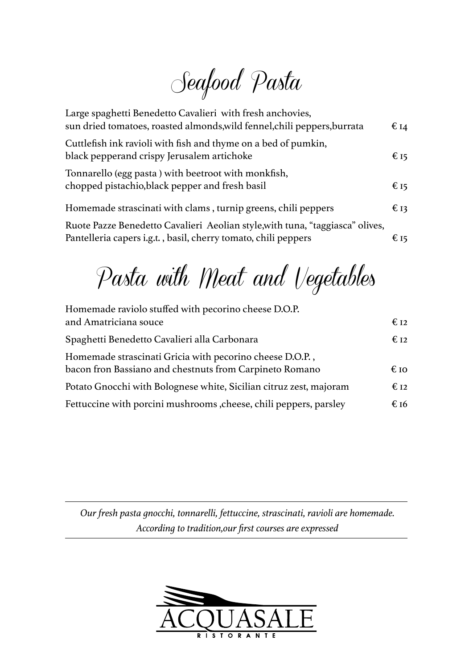Seafood Pasta

| Large spaghetti Benedetto Cavalieri with fresh anchovies,<br>sun dried tomatoes, roasted almonds, wild fennel, chili peppers, burrata           | $\epsilon$ 14 |
|-------------------------------------------------------------------------------------------------------------------------------------------------|---------------|
| Cuttlefish ink ravioli with fish and thyme on a bed of pumkin,<br>black pepperand crispy Jerusalem artichoke                                    | € 15          |
| Tonnarello (egg pasta) with beetroot with monkfish,<br>chopped pistachio, black pepper and fresh basil                                          | € 15          |
| Homemade strascinati with clams, turnip greens, chili peppers                                                                                   | $\epsilon$ 13 |
| Ruote Pazze Benedetto Cavalieri Aeolian style, with tuna, "taggiasca" olives,<br>Pantelleria capers i.g.t., basil, cherry tomato, chili peppers | € 15          |

Pasta with Meat and Vegetables

| Homemade raviolo stuffed with pecorino cheese D.O.P.                                                                |                 |
|---------------------------------------------------------------------------------------------------------------------|-----------------|
| and Amatriciana souce                                                                                               | $\epsilon$ 12   |
| Spaghetti Benedetto Cavalieri alla Carbonara                                                                        | $\epsilon_{12}$ |
| Homemade strascinati Gricia with pecorino cheese D.O.P.,<br>bacon fron Bassiano and chestnuts from Carpineto Romano | $\epsilon$ to   |
| Potato Gnocchi with Bolognese white, Sicilian citruz zest, majoram                                                  | $E_{I2}$        |
| Fettuccine with porcini mushrooms, cheese, chili peppers, parsley                                                   | € 16            |

*Our fresh pasta gnocchi, tonnarelli, fettuccine, strascinati, ravioli are homemade. According to tradition,our first courses are expressed*

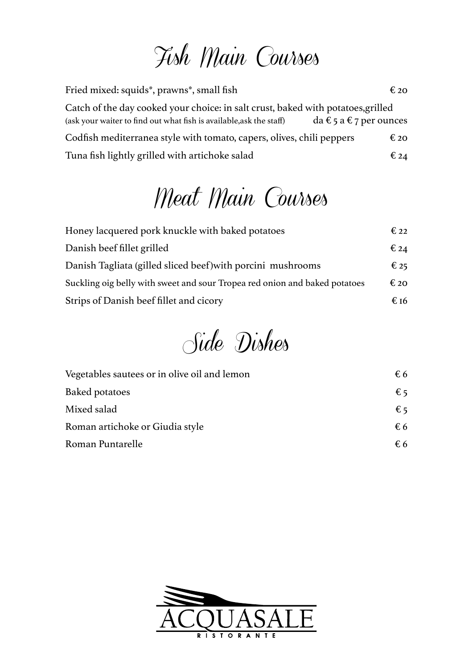## Fish Main Courses

Fried mixed: squids\*, prawns\*, small fish  $\epsilon$  20 Catch of the day cooked your choice: in salt crust, baked with potatoes,grilled (ask your waiter to find out what fish is available, ask the staff)  $da \in 5 a \in 7$  per ounces Codfish mediterranea style with tomato, capers, olives, chili peppers  $\epsilon$  20 Tuna fish lightly grilled with artichoke salad  $\epsilon_{24}$ 

## Meat Main Courses

| Honey lacquered pork knuckle with baked potatoes                           | $\epsilon_{22}$ |
|----------------------------------------------------------------------------|-----------------|
| Danish beef fillet grilled                                                 | $\epsilon_{24}$ |
| Danish Tagliata (gilled sliced beef) with porcini mushrooms                | $\epsilon$ 25   |
| Suckling oig belly with sweet and sour Tropea red onion and baked potatoes | $\epsilon$ 20   |
| Strips of Danish beef fillet and cicory                                    | € 16            |

Side Dishes

| Vegetables sautees or in olive oil and lemon | €6           |  |
|----------------------------------------------|--------------|--|
| Baked potatoes                               | $\epsilon$ 5 |  |
| Mixed salad                                  | $\epsilon$ 5 |  |
| Roman artichoke or Giudia style              | $\epsilon$ 6 |  |
| Roman Puntarelle                             | $\epsilon$ 6 |  |
|                                              |              |  |